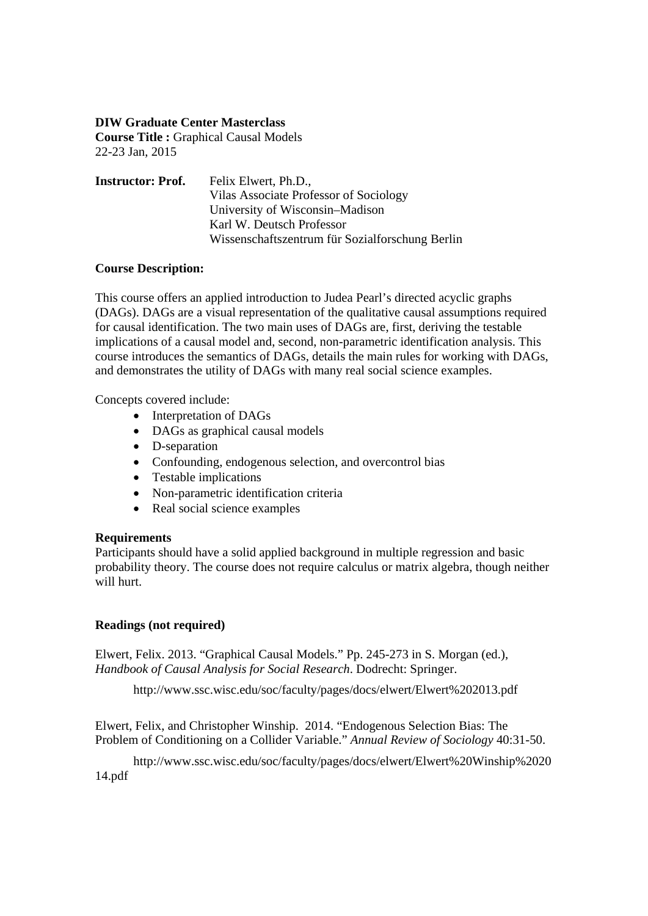## **DIW Graduate Center Masterclass**

**Course Title : Graphical Causal Models** 22-23 Jan, 2015

| <b>Instructor: Prof.</b> | Felix Elwert, Ph.D.,                            |
|--------------------------|-------------------------------------------------|
|                          | Vilas Associate Professor of Sociology          |
|                          | University of Wisconsin–Madison                 |
|                          | Karl W. Deutsch Professor                       |
|                          | Wissenschaftszentrum für Sozialforschung Berlin |

## **Course Description:**

This course offers an applied introduction to Judea Pearl's directed acyclic graphs (DAGs). DAGs are a visual representation of the qualitative causal assumptions required for causal identification. The two main uses of DAGs are, first, deriving the testable implications of a causal model and, second, non-parametric identification analysis. This course introduces the semantics of DAGs, details the main rules for working with DAGs, and demonstrates the utility of DAGs with many real social science examples.

Concepts covered include:

- Interpretation of DAGs
- DAGs as graphical causal models
- D-separation
- Confounding, endogenous selection, and overcontrol bias
- Testable implications
- Non-parametric identification criteria
- Real social science examples

### **Requirements**

Participants should have a solid applied background in multiple regression and basic probability theory. The course does not require calculus or matrix algebra, though neither will hurt.

# **Readings (not required)**

Elwert, Felix. 2013. "Graphical Causal Models." Pp. 245-273 in S. Morgan (ed.), *Handbook of Causal Analysis for Social Research*. Dodrecht: Springer.

http://www.ssc.wisc.edu/soc/faculty/pages/docs/elwert/Elwert%202013.pdf

Elwert, Felix, and Christopher Winship. 2014. "Endogenous Selection Bias: The Problem of Conditioning on a Collider Variable." *Annual Review of Sociology* 40:31-50.

http://www.ssc.wisc.edu/soc/faculty/pages/docs/elwert/Elwert%20Winship%2020 14.pdf